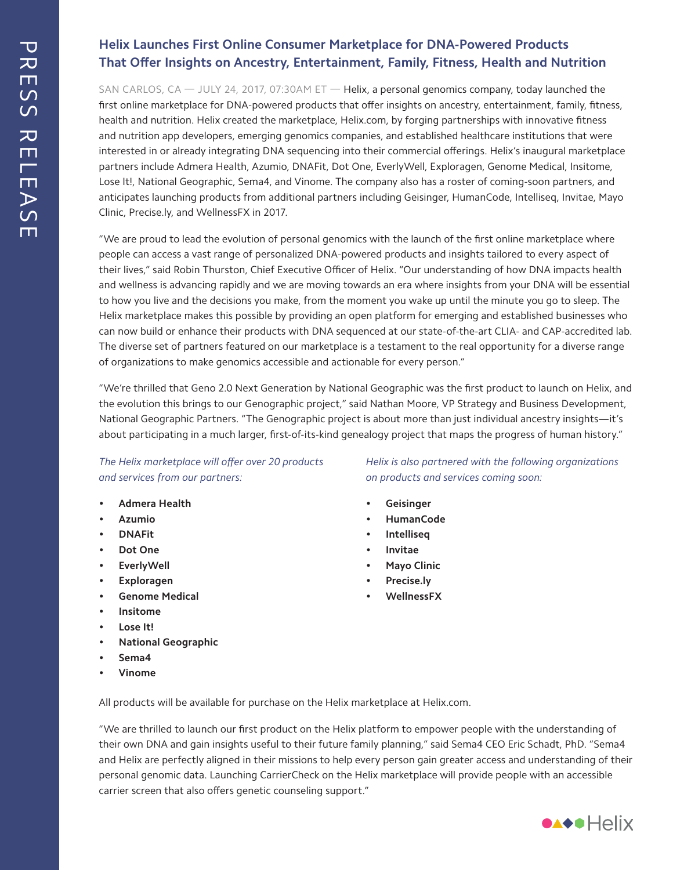## **Helix Launches First Online Consumer Marketplace for DNA-Powered Products That Offer Insights on Ancestry, Entertainment, Family, Fitness, Health and Nutrition**

SAN CARLOS, CA  $-$  JULY 24, 2017, 07:30AM ET  $-$  Helix, a personal genomics company, today launched the first online marketplace for DNA-powered products that offer insights on ancestry, entertainment, family, fitness, health and nutrition. Helix created the marketplace, Helix.com, by forging partnerships with innovative fitness and nutrition app developers, emerging genomics companies, and established healthcare institutions that were interested in or already integrating DNA sequencing into their commercial offerings. Helix's inaugural marketplace partners include Admera Health, Azumio, DNAFit, Dot One, EverlyWell, Exploragen, Genome Medical, Insitome, Lose It!, National Geographic, Sema4, and Vinome. The company also has a roster of coming-soon partners, and anticipates launching products from additional partners including Geisinger, HumanCode, Intelliseq, Invitae, Mayo Clinic, Precise.ly, and WellnessFX in 2017.

"We are proud to lead the evolution of personal genomics with the launch of the first online marketplace where people can access a vast range of personalized DNA-powered products and insights tailored to every aspect of their lives," said Robin Thurston, Chief Executive Officer of Helix. "Our understanding of how DNA impacts health and wellness is advancing rapidly and we are moving towards an era where insights from your DNA will be essential to how you live and the decisions you make, from the moment you wake up until the minute you go to sleep. The Helix marketplace makes this possible by providing an open platform for emerging and established businesses who can now build or enhance their products with DNA sequenced at our state-of-the-art CLIA- and CAP-accredited lab. The diverse set of partners featured on our marketplace is a testament to the real opportunity for a diverse range of organizations to make genomics accessible and actionable for every person."

"We're thrilled that Geno 2.0 Next Generation by National Geographic was the first product to launch on Helix, and the evolution this brings to our Genographic project," said Nathan Moore, VP Strategy and Business Development, National Geographic Partners. "The Genographic project is about more than just individual ancestry insights—it's about participating in a much larger, first-of-its-kind genealogy project that maps the progress of human history."

*The Helix marketplace will offer over 20 products and services from our partners:*

- **• Admera Health**
- **• Azumio**
- **• DNAFit**
- **• Dot One**
- **• EverlyWell**
- **• Exploragen**
- **• Genome Medical**
- **• Insitome**
- **• Lose It!**
- **• National Geographic**
- **• Sema4**
- **• Vinome**

*Helix is also partnered with the following organizations on products and services coming soon:*

- **• Geisinger**
- **• HumanCode**
- **• Intelliseq**
- **• Invitae**
- **• Mayo Clinic**
- **• Precise.ly**
- **• WellnessFX**

All products will be available for purchase on the Helix marketplace at Helix.com.

"We are thrilled to launch our first product on the Helix platform to empower people with the understanding of their own DNA and gain insights useful to their future family planning," said Sema4 CEO Eric Schadt, PhD. "Sema4 and Helix are perfectly aligned in their missions to help every person gain greater access and understanding of their personal genomic data. Launching CarrierCheck on the Helix marketplace will provide people with an accessible carrier screen that also offers genetic counseling support."